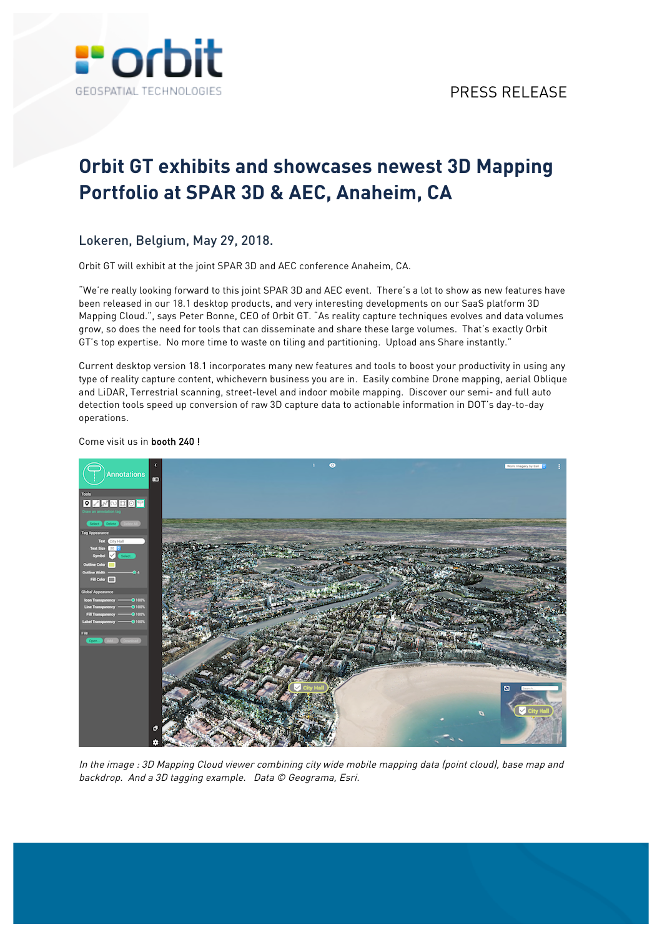

# **Orbit GT exhibits and showcases newest 3D Mapping Portfolio at SPAR 3D & AEC, Anaheim, CA**

## Lokeren, Belgium, May 29, 2018.

Orbit GT will exhibit at the joint SPAR 3D and AEC conference Anaheim, CA.

"We're really looking forward to this joint SPAR 3D and AEC event. There's a lot to show as new features have been released in our 18.1 desktop products, and very interesting developments on our SaaS platform 3D Mapping Cloud.", says Peter Bonne, CEO of Orbit GT. "As reality capture techniques evolves and data volumes grow, so does the need for tools that can disseminate and share these large volumes. That's exactly Orbit GT's top expertise. No more time to waste on tiling and partitioning. Upload ans Share instantly."

Current desktop version 18.1 incorporates many new features and tools to boost your productivity in using any type of reality capture content, whichevern business you are in. Easily combine Drone mapping, aerial Oblique and LiDAR, Terrestrial scanning, street-level and indoor mobile mapping. Discover our semi- and full auto detection tools speed up conversion of raw 3D capture data to actionable information in DOT's day-to-day operations.

#### Come visit us in booth 240 !



In the image : 3D Mapping Cloud viewer combining city wide mobile mapping data (point cloud), base map and backdrop. And a 3D tagging example. Data © Geograma, Esri.